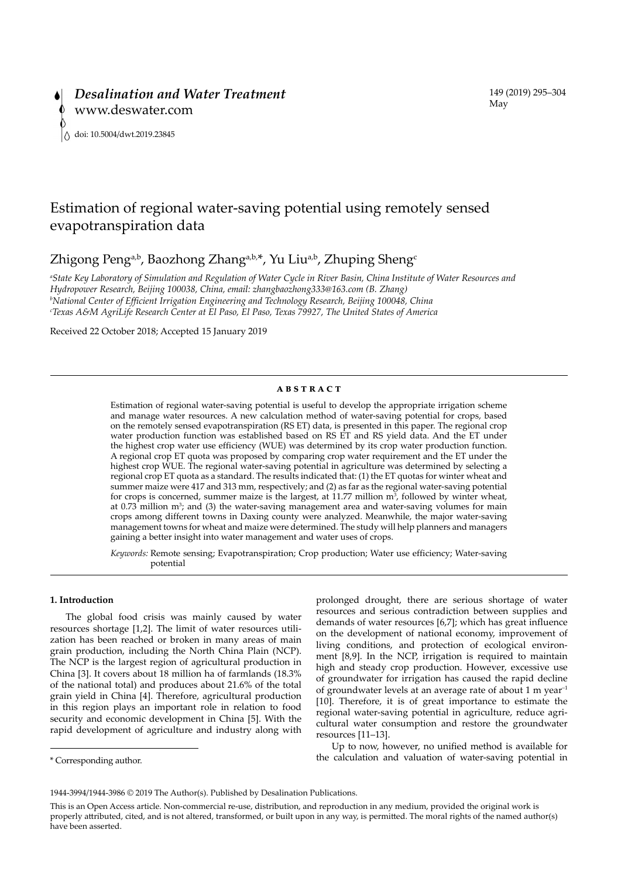# Estimation of regional water-saving potential using remotely sensed evapotranspiration data

Zhigong Peng<sup>a,b</sup>, Baozhong Zhang<sup>a,b,\*</sup>, Yu Liu<sup>a,b</sup>, Zhuping Sheng<sup>c</sup>

*a State Key Laboratory of Simulation and Regulation of Water Cycle in River Basin, China Institute of Water Resources and Hydropower Research, Beijing 100038, China, email: zhangbaozhong333@163.com (B. Zhang) b National Center of Efficient Irrigation Engineering and Technology Research, Beijing 100048, China c Texas A&M AgriLife Research Center at El Paso, El Paso, Texas 79927, The United States of America*

Received 22 October 2018; Accepted 15 January 2019

## **ABSTRACT**

Estimation of regional water-saving potential is useful to develop the appropriate irrigation scheme and manage water resources. A new calculation method of water-saving potential for crops, based on the remotely sensed evapotranspiration (RS ET) data, is presented in this paper. The regional crop water production function was established based on RS ET and RS yield data. And the ET under the highest crop water use efficiency (WUE) was determined by its crop water production function. A regional crop ET quota was proposed by comparing crop water requirement and the ET under the highest crop WUE. The regional water-saving potential in agriculture was determined by selecting a regional crop ET quota as a standard. The results indicated that: (1) the ET quotas for winter wheat and summer maize were 417 and 313 mm, respectively; and (2) as far as the regional water-saving potential for crops is concerned, summer maize is the largest, at 11.77 million  $m<sup>3</sup>$ , followed by winter wheat, at  $0.73$  million  $m<sup>3</sup>$ ; and (3) the water-saving management area and water-saving volumes for main crops among different towns in Daxing county were analyzed. Meanwhile, the major water-saving management towns for wheat and maize were determined. The study will help planners and managers gaining a better insight into water management and water uses of crops.

*Keywords:* Remote sensing; Evapotranspiration; Crop production; Water use efficiency; Water-saving potential

# **1. Introduction**

The global food crisis was mainly caused by water resources shortage [1,2]. The limit of water resources utilization has been reached or broken in many areas of main grain production, including the North China Plain (NCP). The NCP is the largest region of agricultural production in China [3]. It covers about 18 million ha of farmlands (18.3% of the national total) and produces about 21.6% of the total grain yield in China [4]. Therefore, agricultural production in this region plays an important role in relation to food security and economic development in China [5]. With the rapid development of agriculture and industry along with

\* Corresponding author.

prolonged drought, there are serious shortage of water resources and serious contradiction between supplies and demands of water resources [6,7]; which has great influence on the development of national economy, improvement of living conditions, and protection of ecological environment [8,9]. In the NCP, irrigation is required to maintain high and steady crop production. However, excessive use of groundwater for irrigation has caused the rapid decline of groundwater levels at an average rate of about 1 m year<sup>-1</sup> [10]. Therefore, it is of great importance to estimate the regional water-saving potential in agriculture, reduce agricultural water consumption and restore the groundwater resources [11–13].

Up to now, however, no unified method is available for the calculation and valuation of water-saving potential in

<sup>1944-3994/1944-3986 © 2019</sup> The Author(s). Published by Desalination Publications.

This is an Open Access article. Non-commercial re-use, distribution, and reproduction in any medium, provided the original work is properly attributed, cited, and is not altered, transformed, or built upon in any way, is permitted. The moral rights of the named author(s) have been asserted.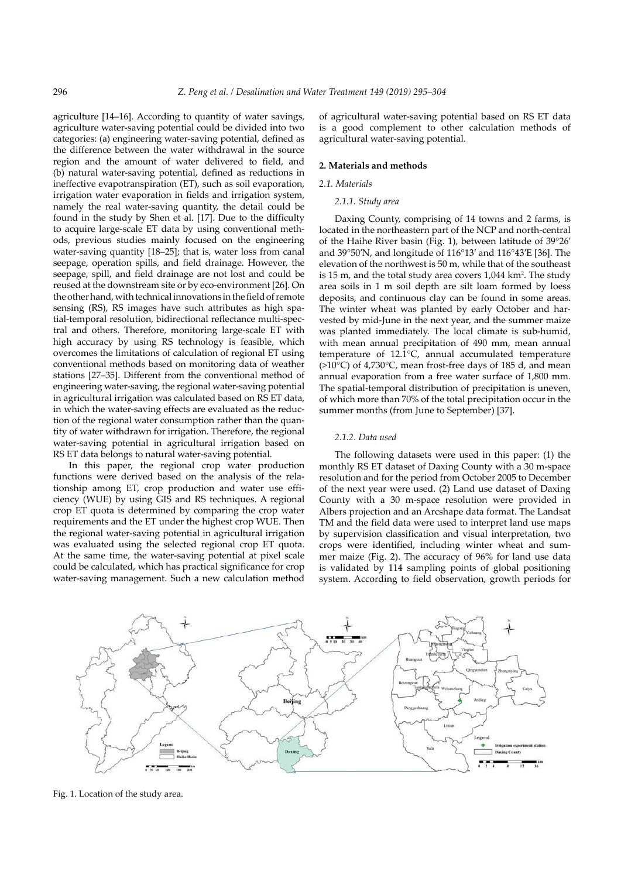agriculture [14–16]. According to quantity of water savings, agriculture water-saving potential could be divided into two categories: (a) engineering water-saving potential, defined as the difference between the water withdrawal in the source region and the amount of water delivered to field, and (b) natural water-saving potential, defined as reductions in ineffective evapotranspiration (ET), such as soil evaporation, irrigation water evaporation in fields and irrigation system, namely the real water-saving quantity, the detail could be found in the study by Shen et al. [17]. Due to the difficulty to acquire large-scale ET data by using conventional methods, previous studies mainly focused on the engineering water-saving quantity [18–25]; that is, water loss from canal seepage, operation spills, and field drainage. However, the seepage, spill, and field drainage are not lost and could be reused at the downstream site or by eco-environment [26]. On the other hand, with technical innovations in the field of remote sensing (RS), RS images have such attributes as high spatial-temporal resolution, bidirectional reflectance multi-spectral and others. Therefore, monitoring large-scale ET with high accuracy by using RS technology is feasible, which overcomes the limitations of calculation of regional ET using conventional methods based on monitoring data of weather stations [27–35]. Different from the conventional method of engineering water-saving, the regional water-saving potential in agricultural irrigation was calculated based on RS ET data, in which the water-saving effects are evaluated as the reduction of the regional water consumption rather than the quantity of water withdrawn for irrigation. Therefore, the regional water-saving potential in agricultural irrigation based on RS ET data belongs to natural water-saving potential.

In this paper, the regional crop water production functions were derived based on the analysis of the relationship among ET, crop production and water use efficiency (WUE) by using GIS and RS techniques. A regional crop ET quota is determined by comparing the crop water requirements and the ET under the highest crop WUE. Then the regional water-saving potential in agricultural irrigation was evaluated using the selected regional crop ET quota. At the same time, the water-saving potential at pixel scale could be calculated, which has practical significance for crop water-saving management. Such a new calculation method

of agricultural water-saving potential based on RS ET data is a good complement to other calculation methods of agricultural water-saving potential.

## **2. Materials and methods**

## *2.1. Materials*

# *2.1.1. Study area*

Daxing County, comprising of 14 towns and 2 farms, is located in the northeastern part of the NCP and north-central of the Haihe River basin (Fig. 1), between latitude of 39°26′ and 39°50′N, and longitude of 116°13′ and 116°43′E [36]. The elevation of the northwest is 50 m, while that of the southeast is 15 m, and the total study area covers 1,044 km<sup>2</sup>. The study area soils in 1 m soil depth are silt loam formed by loess deposits, and continuous clay can be found in some areas. The winter wheat was planted by early October and harvested by mid-June in the next year, and the summer maize was planted immediately. The local climate is sub-humid, with mean annual precipitation of 490 mm, mean annual temperature of 12.1°C, annual accumulated temperature  $(>10^{\circ}C)$  of 4,730 $^{\circ}C$ , mean frost-free days of 185 d, and mean annual evaporation from a free water surface of 1,800 mm. The spatial-temporal distribution of precipitation is uneven, of which more than 70% of the total precipitation occur in the summer months (from June to September) [37].

## *2.1.2. Data used*

The following datasets were used in this paper: (1) the monthly RS ET dataset of Daxing County with a 30 m-space resolution and for the period from October 2005 to December of the next year were used. (2) Land use dataset of Daxing County with a 30 m-space resolution were provided in Albers projection and an Arcshape data format. The Landsat TM and the field data were used to interpret land use maps by supervision classification and visual interpretation, two crops were identified, including winter wheat and summer maize (Fig. 2). The accuracy of 96% for land use data is validated by 114 sampling points of global positioning system. According to field observation, growth periods for



Fig. 1. Location of the study area.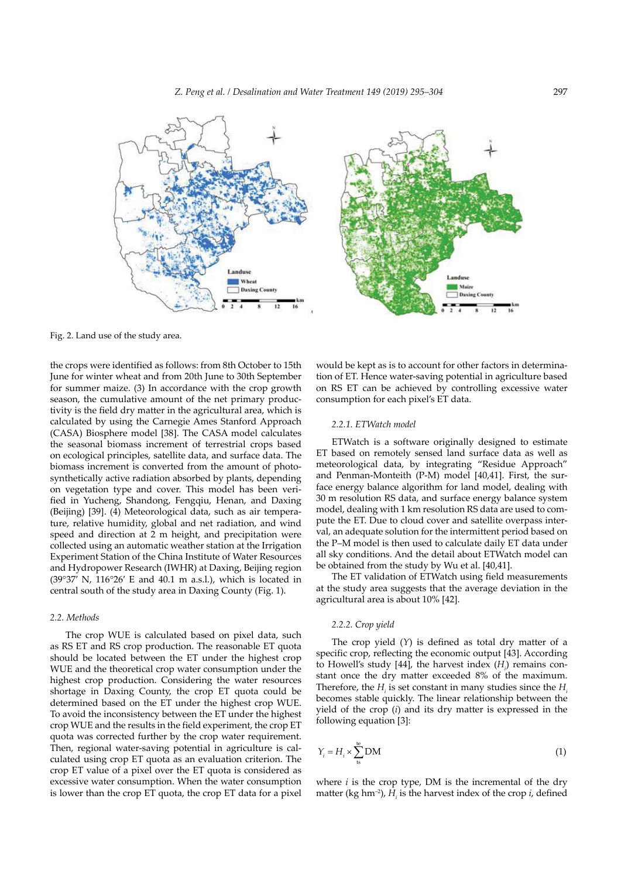



Fig. 2. Land use of the study area.

the crops were identified as follows: from 8th October to 15th June for winter wheat and from 20th June to 30th September for summer maize. (3) In accordance with the crop growth season, the cumulative amount of the net primary productivity is the field dry matter in the agricultural area, which is calculated by using the Carnegie Ames Stanford Approach (CASA) Biosphere model [38]. The CASA model calculates the seasonal biomass increment of terrestrial crops based on ecological principles, satellite data, and surface data. The biomass increment is converted from the amount of photosynthetically active radiation absorbed by plants, depending on vegetation type and cover. This model has been verified in Yucheng, Shandong, Fengqiu, Henan, and Daxing (Beijing) [39]. (4) Meteorological data, such as air temperature, relative humidity, global and net radiation, and wind speed and direction at 2 m height, and precipitation were collected using an automatic weather station at the Irrigation Experiment Station of the China Institute of Water Resources and Hydropower Research (IWHR) at Daxing, Beijing region (39°37′ N, 116°26′ E and 40.1 m a.s.l.), which is located in central south of the study area in Daxing County (Fig. 1).

## *2.2. Methods*

The crop WUE is calculated based on pixel data, such as RS ET and RS crop production. The reasonable ET quota should be located between the ET under the highest crop WUE and the theoretical crop water consumption under the highest crop production. Considering the water resources shortage in Daxing County, the crop ET quota could be determined based on the ET under the highest crop WUE. To avoid the inconsistency between the ET under the highest crop WUE and the results in the field experiment, the crop ET quota was corrected further by the crop water requirement. Then, regional water-saving potential in agriculture is calculated using crop ET quota as an evaluation criterion. The crop ET value of a pixel over the ET quota is considered as excessive water consumption. When the water consumption is lower than the crop ET quota, the crop ET data for a pixel

would be kept as is to account for other factors in determination of ET. Hence water-saving potential in agriculture based on RS ET can be achieved by controlling excessive water consumption for each pixel's ET data.

#### *2.2.1. ETWatch model*

ETWatch is a software originally designed to estimate ET based on remotely sensed land surface data as well as meteorological data, by integrating "Residue Approach" and Penman-Monteith (P-M) model [40,41]. First, the surface energy balance algorithm for land model, dealing with 30 m resolution RS data, and surface energy balance system model, dealing with 1 km resolution RS data are used to compute the ET. Due to cloud cover and satellite overpass interval, an adequate solution for the intermittent period based on the P–M model is then used to calculate daily ET data under all sky conditions. And the detail about ETWatch model can be obtained from the study by Wu et al. [40,41].

The ET validation of ETWatch using field measurements at the study area suggests that the average deviation in the agricultural area is about 10% [42].

# *2.2.2. Crop yield*

The crop yield (*Y*) is defined as total dry matter of a specific crop, reflecting the economic output [43]. According to Howell's study [44], the harvest index  $(H<sub>i</sub>)$  remains constant once the dry matter exceeded 8% of the maximum. Therefore, the  $H_i$  is set constant in many studies since the  $H_i$ becomes stable quickly. The linear relationship between the yield of the crop (*i*) and its dry matter is expressed in the following equation [3]:

$$
Y_i = H_i \times \sum_{\text{ts}}^{\text{te}} \text{DM} \tag{1}
$$

where  $i$  is the crop type, DM is the incremental of the dry matter (kg hm<sup>-2</sup>),  $H$ <sub>*i*</sub> is the harvest index of the crop *i*, defined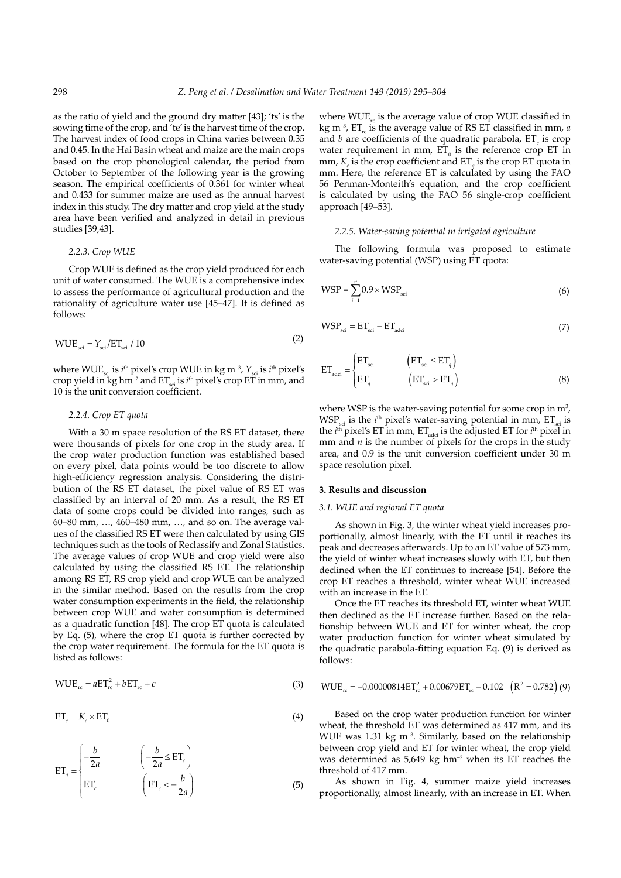as the ratio of yield and the ground dry matter [43]; 'ts' is the sowing time of the crop, and 'te' is the harvest time of the crop. The harvest index of food crops in China varies between 0.35 and 0.45. In the Hai Basin wheat and maize are the main crops based on the crop phonological calendar, the period from October to September of the following year is the growing season. The empirical coefficients of 0.361 for winter wheat and 0.433 for summer maize are used as the annual harvest index in this study. The dry matter and crop yield at the study area have been verified and analyzed in detail in previous studies [39,43].

### *2.2.3. Crop WUE*

Crop WUE is defined as the crop yield produced for each unit of water consumed. The WUE is a comprehensive index to assess the performance of agricultural production and the rationality of agriculture water use [45–47]. It is defined as follows:

$$
WUE_{\rm sci} = Y_{\rm sci}/ET_{\rm sci}/10\tag{2}
$$

where WUE<sub>sci</sub> is *i*<sup>th</sup> pixel's crop WUE in kg m<sup>-3</sup>,  $Y_{\text{sci}}$  is *i*<sup>th</sup> pixel's crop yield in kg hm<sup>-2</sup> and  $ET_{\text{sci}}$  is *i*<sup>th</sup> pixel's crop ET in mm, and 10 is the unit conversion coefficient.

# *2.2.4. Crop ET quota*

With a 30 m space resolution of the RS ET dataset, there were thousands of pixels for one crop in the study area. If the crop water production function was established based on every pixel, data points would be too discrete to allow high-efficiency regression analysis. Considering the distribution of the RS ET dataset, the pixel value of RS ET was classified by an interval of 20 mm. As a result, the RS ET data of some crops could be divided into ranges, such as 60–80 mm, …, 460–480 mm, …, and so on. The average values of the classified RS ET were then calculated by using GIS techniques such as the tools of Reclassify and Zonal Statistics. The average values of crop WUE and crop yield were also calculated by using the classified RS ET. The relationship among RS ET, RS crop yield and crop WUE can be analyzed in the similar method. Based on the results from the crop water consumption experiments in the field, the relationship between crop WUE and water consumption is determined as a quadratic function [48]. The crop ET quota is calculated by Eq. (5), where the crop ET quota is further corrected by the crop water requirement. The formula for the ET quota is listed as follows:

$$
WUE_{rc} = aET_{rc}^2 + bET_{rc} + c
$$
 (3)

$$
ET_c = K_c \times ET_0 \tag{4}
$$

$$
ET_{q} = \begin{cases} -\frac{b}{2a} & \left( -\frac{b}{2a} \leq ET_{c} \right) \\ ET_{c} & \left( ET_{c} < -\frac{b}{2a} \right) \end{cases}
$$
(5)

where  $WUE_{rc}$  is the average value of crop WUE classified in kg m<sup>-3</sup>, ET<sub>rc</sub> is the average value of RS ET classified in mm, *a* and *b* are coefficients of the quadratic parabola,  $ET_c$  is crop water requirement in mm,  $ET_0$  is the reference crop ET in mm,  $K_c$  is the crop coefficient and  $ET_q$  is the crop ET quota in mm. Here, the reference ET is calculated by using the FAO 56 Penman-Monteith's equation, and the crop coefficient is calculated by using the FAO 56 single-crop coefficient approach [49–53].

### *2.2.5. Water-saving potential in irrigated agriculture*

The following formula was proposed to estimate water-saving potential (WSP) using ET quota:

$$
WSP = \sum_{i=1}^{n} 0.9 \times WSP_{\rm sci} \tag{6}
$$

$$
WSP_{\rm sci} = ET_{\rm sci} - ET_{\rm adci}
$$
\n<sup>(7)</sup>

$$
\mathbf{ET}_{\text{adci}} = \begin{cases} \mathbf{ET}_{\text{sci}} & (\mathbf{ET}_{\text{sci}} \leq \mathbf{ET}_q) \\ \mathbf{ET}_q & (\mathbf{ET}_{\text{sci}} > \mathbf{ET}_q \end{cases} \tag{8}
$$

where WSP is the water-saving potential for some crop in  $m^3$ ,  $WSP_{\text{sci}}$  is the *i*<sup>th</sup> pixel's water-saving potential in mm,  $ET_{\text{sci}}$  is the  $i<sup>th</sup>$  pixel's ET in mm,  $ET<sub>adci</sub>$  is the adjusted ET for  $i<sup>th</sup>$  pixel in mm and *n* is the number of pixels for the crops in the study area, and 0.9 is the unit conversion coefficient under 30 m space resolution pixel.

# **3. Results and discussion**

### *3.1. WUE and regional ET quota*

As shown in Fig. 3, the winter wheat yield increases proportionally, almost linearly, with the ET until it reaches its peak and decreases afterwards. Up to an ET value of 573 mm, the yield of winter wheat increases slowly with ET, but then declined when the ET continues to increase [54]. Before the crop ET reaches a threshold, winter wheat WUE increased with an increase in the ET.

Once the ET reaches its threshold ET, winter wheat WUE then declined as the ET increase further. Based on the relationship between WUE and ET for winter wheat, the crop water production function for winter wheat simulated by the quadratic parabola-fitting equation Eq. (9) is derived as follows:

WUE E rc T E rc T R rc = −0 00000814 + − 0 00679 0 102 ( ) = 0 782 2 2 . . . . (9)

Based on the crop water production function for winter wheat, the threshold ET was determined as 417 mm, and its WUE was  $1.31 \text{ kg m}^{-3}$ . Similarly, based on the relationship between crop yield and ET for winter wheat, the crop yield was determined as  $5.649 \text{ kg} \text{ hm}^2$  when its ET reaches the threshold of 417 mm.

As shown in Fig. 4, summer maize yield increases proportionally, almost linearly, with an increase in ET. When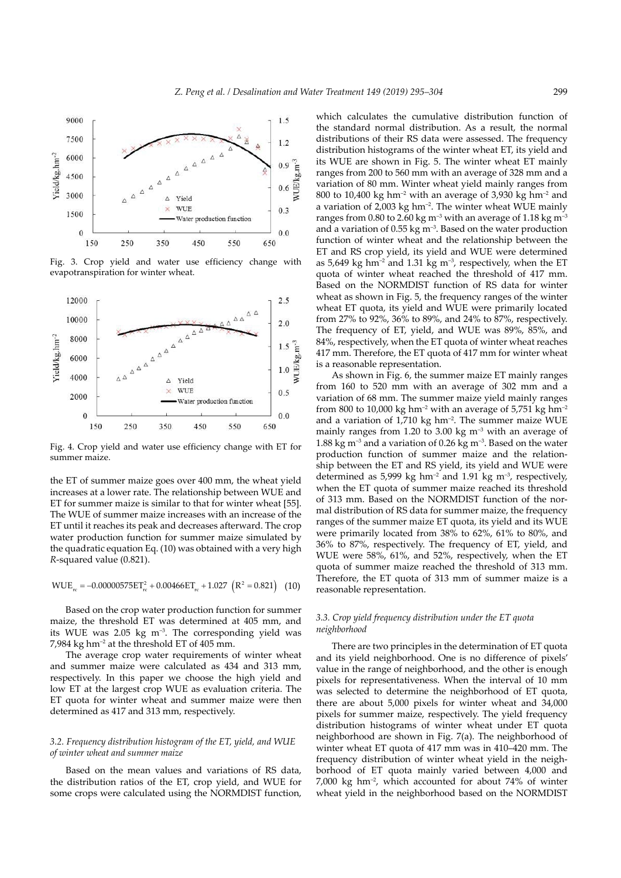

Fig. 3. Crop yield and water use efficiency change with evapotranspiration for winter wheat.



Fig. 4. Crop yield and water use efficiency change with ET for summer maize.

the ET of summer maize goes over 400 mm, the wheat yield increases at a lower rate. The relationship between WUE and ET for summer maize is similar to that for winter wheat [55]. The WUE of summer maize increases with an increase of the ET until it reaches its peak and decreases afterward. The crop water production function for summer maize simulated by the quadratic equation Eq. (10) was obtained with a very high *R*-squared value (0.821).

$$
WUE_{rc} = -0.00000575ET_{rc}^{2} + 0.00466ET_{rc} + 1.027 (R^{2} = 0.821) (10)
$$

Based on the crop water production function for summer maize, the threshold ET was determined at 405 mm, and its WUE was 2.05 kg m–3. The corresponding yield was 7,984 kg hm<sup>-2</sup> at the threshold ET of  $405$  mm.

The average crop water requirements of winter wheat and summer maize were calculated as 434 and 313 mm, respectively. In this paper we choose the high yield and low ET at the largest crop WUE as evaluation criteria. The ET quota for winter wheat and summer maize were then determined as 417 and 313 mm, respectively.

### *3.2. Frequency distribution histogram of the ET, yield, and WUE of winter wheat and summer maize*

Based on the mean values and variations of RS data, the distribution ratios of the ET, crop yield, and WUE for some crops were calculated using the NORMDIST function,

which calculates the cumulative distribution function of the standard normal distribution. As a result, the normal distributions of their RS data were assessed. The frequency distribution histograms of the winter wheat ET, its yield and its WUE are shown in Fig. 5. The winter wheat ET mainly ranges from 200 to 560 mm with an average of 328 mm and a variation of 80 mm. Winter wheat yield mainly ranges from 800 to 10,400 kg hm<sup>-2</sup> with an average of 3,930 kg hm<sup>-2</sup> and a variation of 2,003 kg hm<sup>-2</sup>. The winter wheat WUE mainly ranges from 0.80 to 2.60 kg m<sup>-3</sup> with an average of 1.18 kg m<sup>-3</sup> and a variation of  $0.55 \text{ kg m}^{-3}$ . Based on the water production function of winter wheat and the relationship between the ET and RS crop yield, its yield and WUE were determined as  $5,649$  kg hm<sup>-2</sup> and  $1.31$  kg m<sup>-3</sup>, respectively, when the ET quota of winter wheat reached the threshold of 417 mm. Based on the NORMDIST function of RS data for winter wheat as shown in Fig. 5, the frequency ranges of the winter wheat ET quota, its yield and WUE were primarily located from 27% to 92%, 36% to 89%, and 24% to 87%, respectively. The frequency of ET, yield, and WUE was 89%, 85%, and 84%, respectively, when the ET quota of winter wheat reaches 417 mm. Therefore, the ET quota of 417 mm for winter wheat is a reasonable representation.

As shown in Fig. 6, the summer maize ET mainly ranges from 160 to 520 mm with an average of 302 mm and a variation of 68 mm. The summer maize yield mainly ranges from 800 to 10,000 kg hm<sup>-2</sup> with an average of 5,751 kg hm<sup>-2</sup> and a variation of  $1,710 \text{ kg }$  hm<sup>-2</sup>. The summer maize WUE mainly ranges from 1.20 to 3.00 kg  $m^{-3}$  with an average of 1.88 kg m<sup>-3</sup> and a variation of 0.26 kg m<sup>-3</sup>. Based on the water production function of summer maize and the relationship between the ET and RS yield, its yield and WUE were determined as 5,999 kg hm<sup>-2</sup> and 1.91 kg m<sup>-3</sup>, respectively, when the ET quota of summer maize reached its threshold of 313 mm. Based on the NORMDIST function of the normal distribution of RS data for summer maize, the frequency ranges of the summer maize ET quota, its yield and its WUE were primarily located from 38% to 62%, 61% to 80%, and 36% to 87%, respectively. The frequency of ET, yield, and WUE were 58%, 61%, and 52%, respectively, when the ET quota of summer maize reached the threshold of 313 mm. Therefore, the ET quota of 313 mm of summer maize is a reasonable representation.

# *3.3. Crop yield frequency distribution under the ET quota neighborhood*

There are two principles in the determination of ET quota and its yield neighborhood. One is no difference of pixels' value in the range of neighborhood, and the other is enough pixels for representativeness. When the interval of 10 mm was selected to determine the neighborhood of ET quota, there are about 5,000 pixels for winter wheat and 34,000 pixels for summer maize, respectively. The yield frequency distribution histograms of winter wheat under ET quota neighborhood are shown in Fig. 7(a). The neighborhood of winter wheat ET quota of 417 mm was in 410–420 mm. The frequency distribution of winter wheat yield in the neighborhood of ET quota mainly varied between 4,000 and 7,000 kg hm–2, which accounted for about 74% of winter wheat yield in the neighborhood based on the NORMDIST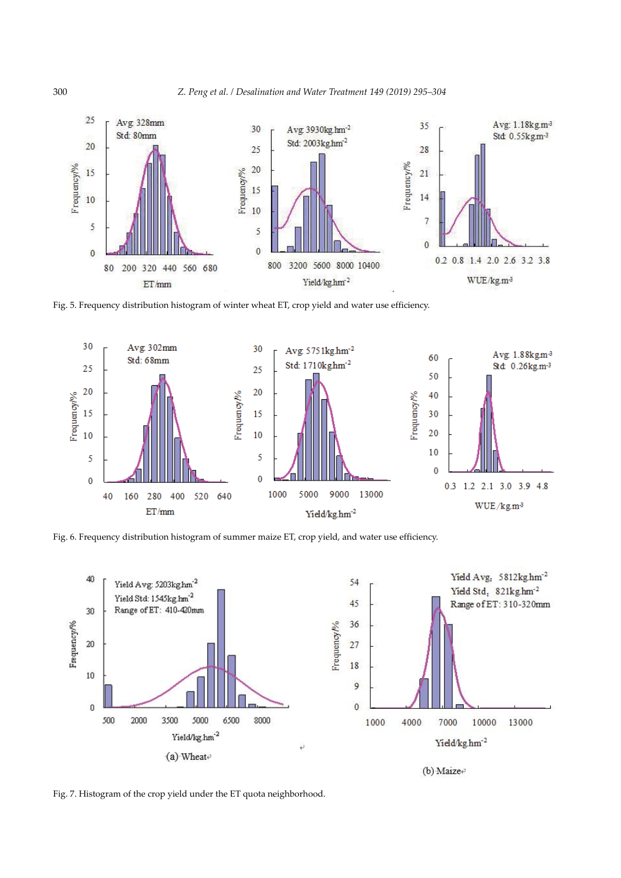

Fig. 5. Frequency distribution histogram of winter wheat ET, crop yield and water use efficiency.



Fig. 6. Frequency distribution histogram of summer maize ET, crop yield, and water use efficiency.



Fig. 7. Histogram of the crop yield under the ET quota neighborhood.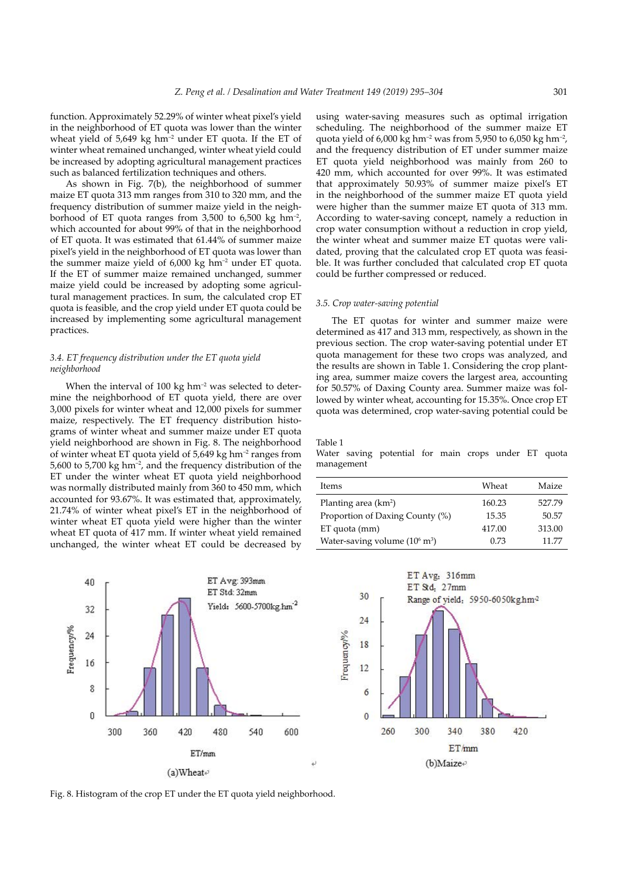function. Approximately 52.29% of winter wheat pixel's yield in the neighborhood of ET quota was lower than the winter wheat yield of  $5,649 \text{ kg} \text{ hm}^{-2}$  under ET quota. If the ET of winter wheat remained unchanged, winter wheat yield could be increased by adopting agricultural management practices such as balanced fertilization techniques and others.

As shown in Fig. 7(b), the neighborhood of summer maize ET quota 313 mm ranges from 310 to 320 mm, and the frequency distribution of summer maize yield in the neighborhood of ET quota ranges from 3,500 to 6,500 kg  $\text{hm}^{-2}$ , which accounted for about 99% of that in the neighborhood of ET quota. It was estimated that 61.44% of summer maize pixel's yield in the neighborhood of ET quota was lower than the summer maize yield of  $6,000 \text{ kg }$  hm<sup>-2</sup> under ET quota. If the ET of summer maize remained unchanged, summer maize yield could be increased by adopting some agricultural management practices. In sum, the calculated crop ET quota is feasible, and the crop yield under ET quota could be increased by implementing some agricultural management practices.

# *3.4. ET frequency distribution under the ET quota yield neighborhood*

When the interval of  $100 \text{ kg}$  hm<sup>-2</sup> was selected to determine the neighborhood of ET quota yield, there are over 3,000 pixels for winter wheat and 12,000 pixels for summer maize, respectively. The ET frequency distribution histograms of winter wheat and summer maize under ET quota yield neighborhood are shown in Fig. 8. The neighborhood of winter wheat ET quota yield of 5,649 kg hm–2 ranges from 5,600 to 5,700 kg hm–2, and the frequency distribution of the ET under the winter wheat ET quota yield neighborhood was normally distributed mainly from 360 to 450 mm, which accounted for 93.67%. It was estimated that, approximately, 21.74% of winter wheat pixel's ET in the neighborhood of winter wheat ET quota yield were higher than the winter wheat ET quota of 417 mm. If winter wheat yield remained unchanged, the winter wheat ET could be decreased by

using water-saving measures such as optimal irrigation scheduling. The neighborhood of the summer maize ET quota yield of 6,000 kg hm<sup>-2</sup> was from 5,950 to 6,050 kg hm<sup>-2</sup>, and the frequency distribution of ET under summer maize ET quota yield neighborhood was mainly from 260 to 420 mm, which accounted for over 99%. It was estimated that approximately 50.93% of summer maize pixel's ET in the neighborhood of the summer maize ET quota yield were higher than the summer maize ET quota of 313 mm. According to water-saving concept, namely a reduction in crop water consumption without a reduction in crop yield, the winter wheat and summer maize ET quotas were validated, proving that the calculated crop ET quota was feasible. It was further concluded that calculated crop ET quota could be further compressed or reduced.

## *3.5. Crop water-saving potential*

The ET quotas for winter and summer maize were determined as 417 and 313 mm, respectively, as shown in the previous section. The crop water-saving potential under ET quota management for these two crops was analyzed, and the results are shown in Table 1. Considering the crop planting area, summer maize covers the largest area, accounting for 50.57% of Daxing County area. Summer maize was followed by winter wheat, accounting for 15.35%. Once crop ET quota was determined, crop water-saving potential could be

#### Table 1

Water saving potential for main crops under ET quota management

| Items                                    | Wheat  | Maize  |
|------------------------------------------|--------|--------|
| Planting area (km <sup>2</sup> )         | 160.23 | 527.79 |
| Proportion of Daxing County (%)          | 15.35  | 50.57  |
| ET quota (mm)                            | 417.00 | 313.00 |
| Water-saving volume $(10^6 \text{ m}^3)$ | 0.73   | 11.77  |
|                                          |        |        |





Fig. 8. Histogram of the crop ET under the ET quota yield neighborhood.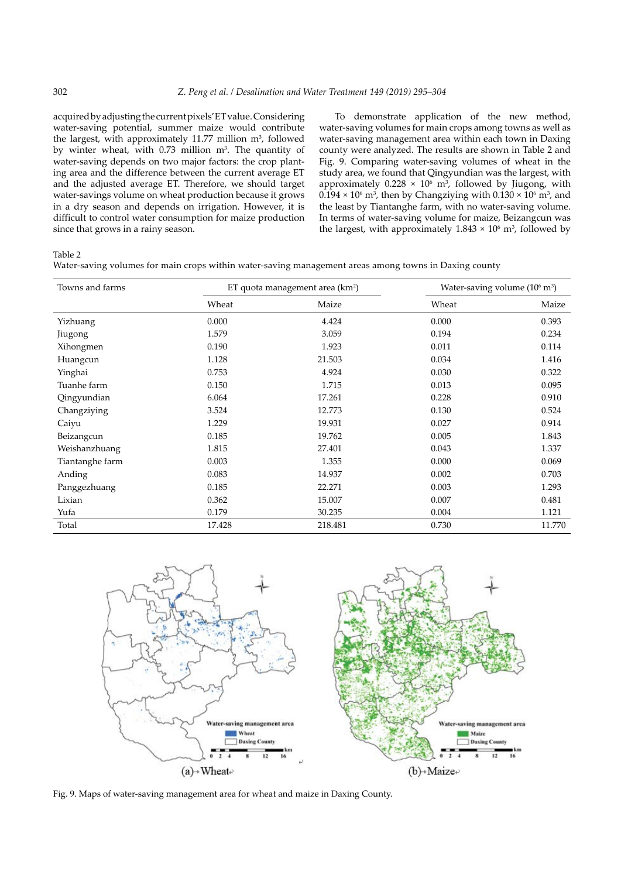acquired by adjusting the current pixels' ET value. Considering water-saving potential, summer maize would contribute the largest, with approximately  $11.77$  million  $m<sup>3</sup>$ , followed by winter wheat, with  $0.73$  million  $m<sup>3</sup>$ . The quantity of water-saving depends on two major factors: the crop planting area and the difference between the current average ET and the adjusted average ET. Therefore, we should target water-savings volume on wheat production because it grows in a dry season and depends on irrigation. However, it is difficult to control water consumption for maize production since that grows in a rainy season.

To demonstrate application of the new method, water-saving volumes for main crops among towns as well as water-saving management area within each town in Daxing county were analyzed. The results are shown in Table 2 and Fig. 9. Comparing water-saving volumes of wheat in the study area, we found that Qingyundian was the largest, with approximately  $0.228 \times 10^6$  m<sup>3</sup>, followed by Jiugong, with  $0.194 \times 10^6$  m<sup>3</sup>, then by Changziying with  $0.130 \times 10^6$  m<sup>3</sup>, and the least by Tiantanghe farm, with no water-saving volume. In terms of water-saving volume for maize, Beizangcun was the largest, with approximately  $1.843 \times 10^6$  m<sup>3</sup>, followed by

# Table 2

| Water-saving volumes for main crops within water-saving management areas among towns in Daxing county |  |  |  |  |  |
|-------------------------------------------------------------------------------------------------------|--|--|--|--|--|
|-------------------------------------------------------------------------------------------------------|--|--|--|--|--|

| Towns and farms | ET quota management area (km <sup>2</sup> ) |         | Water-saving volume $(10^6 \text{ m}^3)$ |        |
|-----------------|---------------------------------------------|---------|------------------------------------------|--------|
|                 | Wheat                                       | Maize   | Wheat                                    | Maize  |
| Yizhuang        | 0.000                                       | 4.424   | 0.000                                    | 0.393  |
| Jiugong         | 1.579                                       | 3.059   | 0.194                                    | 0.234  |
| Xihongmen       | 0.190                                       | 1.923   | 0.011                                    | 0.114  |
| Huangcun        | 1.128                                       | 21.503  | 0.034                                    | 1.416  |
| Yinghai         | 0.753                                       | 4.924   | 0.030                                    | 0.322  |
| Tuanhe farm     | 0.150                                       | 1.715   | 0.013                                    | 0.095  |
| Qingyundian     | 6.064                                       | 17.261  | 0.228                                    | 0.910  |
| Changziying     | 3.524                                       | 12.773  | 0.130                                    | 0.524  |
| Caiyu           | 1.229                                       | 19.931  | 0.027                                    | 0.914  |
| Beizangcun      | 0.185                                       | 19.762  | 0.005                                    | 1.843  |
| Weishanzhuang   | 1.815                                       | 27.401  | 0.043                                    | 1.337  |
| Tiantanghe farm | 0.003                                       | 1.355   | 0.000                                    | 0.069  |
| Anding          | 0.083                                       | 14.937  | 0.002                                    | 0.703  |
| Panggezhuang    | 0.185                                       | 22.271  | 0.003                                    | 1.293  |
| Lixian          | 0.362                                       | 15.007  | 0.007                                    | 0.481  |
| Yufa            | 0.179                                       | 30.235  | 0.004                                    | 1.121  |
| Total           | 17.428                                      | 218.481 | 0.730                                    | 11.770 |



Fig. 9. Maps of water-saving management area for wheat and maize in Daxing County.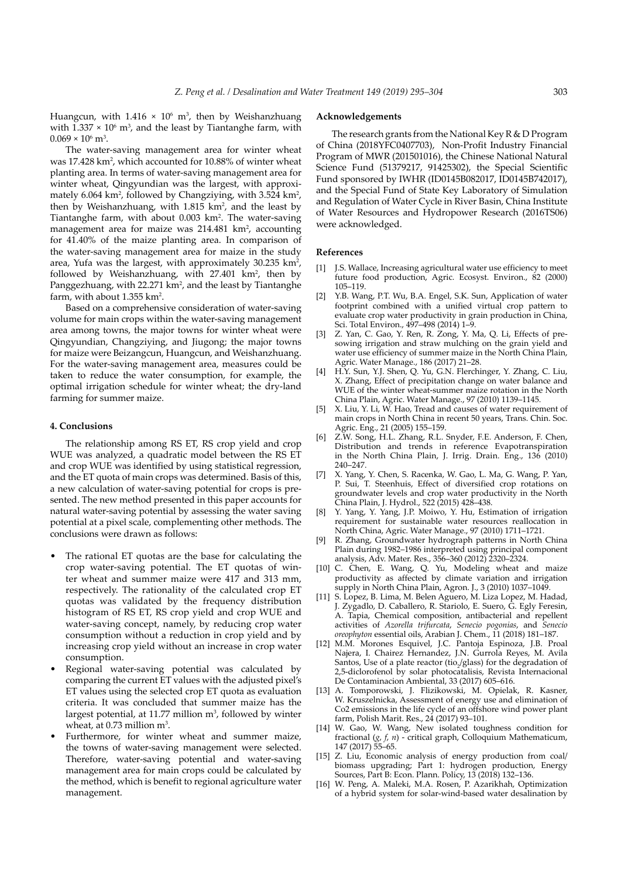Huangcun, with  $1.416 \times 10^6$  m<sup>3</sup>, then by Weishanzhuang with  $1.337 \times 10^6$  m<sup>3</sup>, and the least by Tiantanghe farm, with  $0.069 \times 10^6$  m<sup>3</sup>.

The water-saving management area for winter wheat was 17.428 km<sup>2</sup>, which accounted for 10.88% of winter wheat planting area. In terms of water-saving management area for winter wheat, Qingyundian was the largest, with approximately 6.064 km<sup>2</sup>, followed by Changziying, with 3.524 km<sup>2</sup>, then by Weishanzhuang, with  $1.815 \text{ km}^2$ , and the least by Tiantanghe farm, with about 0.003 km<sup>2</sup>. The water-saving management area for maize was  $214.481 \text{ km}^2$ , accounting for 41.40% of the maize planting area. In comparison of the water-saving management area for maize in the study area, Yufa was the largest, with approximately  $30.235 \text{ km}^2$ , followed by Weishanzhuang, with  $27.401 \text{ km}^2$ , then by Panggezhuang, with 22.271 km<sup>2</sup>, and the least by Tiantanghe farm, with about 1.355 km<sup>2</sup>.

Based on a comprehensive consideration of water-saving volume for main crops within the water-saving management area among towns, the major towns for winter wheat were Qingyundian, Changziying, and Jiugong; the major towns for maize were Beizangcun, Huangcun, and Weishanzhuang. For the water-saving management area, measures could be taken to reduce the water consumption, for example, the optimal irrigation schedule for winter wheat; the dry-land farming for summer maize.

#### **4. Conclusions**

The relationship among RS ET, RS crop yield and crop WUE was analyzed, a quadratic model between the RS ET and crop WUE was identified by using statistical regression, and the ET quota of main crops was determined. Basis of this, a new calculation of water-saving potential for crops is presented. The new method presented in this paper accounts for natural water-saving potential by assessing the water saving potential at a pixel scale, complementing other methods. The conclusions were drawn as follows:

- The rational ET quotas are the base for calculating the crop water-saving potential. The ET quotas of winter wheat and summer maize were 417 and 313 mm, respectively. The rationality of the calculated crop ET quotas was validated by the frequency distribution histogram of RS ET, RS crop yield and crop WUE and water-saving concept, namely, by reducing crop water consumption without a reduction in crop yield and by increasing crop yield without an increase in crop water consumption.
- Regional water-saving potential was calculated by comparing the current ET values with the adjusted pixel's ET values using the selected crop ET quota as evaluation criteria. It was concluded that summer maize has the largest potential, at 11.77 million  $m<sup>3</sup>$ , followed by winter wheat, at  $0.73$  million m<sup>3</sup>.
- Furthermore, for winter wheat and summer maize, the towns of water-saving management were selected. Therefore, water-saving potential and water-saving management area for main crops could be calculated by the method, which is benefit to regional agriculture water management.

# **Acknowledgements**

The research grants from the National Key R & D Program of China (2018YFC0407703), Non-Profit Industry Financial Program of MWR (201501016), the Chinese National Natural Science Fund (51379217, 91425302), the Special Scientific Fund sponsored by IWHR (ID0145B082017, ID0145B742017), and the Special Fund of State Key Laboratory of Simulation and Regulation of Water Cycle in River Basin, China Institute of Water Resources and Hydropower Research (2016TS06) were acknowledged.

#### **References**

- J.S. Wallace, Increasing agricultural water use efficiency to meet future food production, Agric. Ecosyst. Environ., 82 (2000) 105–119.
- [2] Y.B. Wang, P.T. Wu, B.A. Engel, S.K. Sun, Application of water footprint combined with a unified virtual crop pattern to evaluate crop water productivity in grain production in China, Sci. Total Environ., 497–498 (2014) 1–9.
- [3] Z. Yan, C. Gao, Y. Ren, R. Zong, Y. Ma, Q. Li, Effects of presowing irrigation and straw mulching on the grain yield and water use efficiency of summer maize in the North China Plain, Agric. Water Manage., 186 (2017) 21–28.
- [4] H.Y. Sun, Y.J. Shen, Q. Yu, G.N. Flerchinger, Y. Zhang, C. Liu, X. Zhang, Effect of precipitation change on water balance and WUE of the winter wheat-summer maize rotation in the North China Plain, Agric. Water Manage., 97 (2010) 1139–1145.
- [5] X. Liu, Y. Li, W. Hao, Tread and causes of water requirement of main crops in North China in recent 50 years, Trans. Chin. Soc. Agric. Eng., 21 (2005) 155–159.
- [6] Z.W. Song, H.L. Zhang, R.L. Snyder, F.E. Anderson, F. Chen, Distribution and trends in reference Evapotranspiration in the North China Plain, J. Irrig. Drain. Eng., 136 (2010) 240–247.
- [7] X. Yang, Y. Chen, S. Racenka, W. Gao, L. Ma, G. Wang, P. Yan, P. Sui, T. Steenhuis, Effect of diversified crop rotations on groundwater levels and crop water productivity in the North China Plain, J. Hydrol., 522 (2015) 428–438.
- [8] Y. Yang, Y. Yang, J.P. Moiwo, Y. Hu, Estimation of irrigation requirement for sustainable water resources reallocation in North China, Agric. Water Manage., 97 (2010) 1711–1721.
- [9] R. Zhang, Groundwater hydrograph patterns in North China Plain during 1982–1986 interpreted using principal component analysis, Adv. Mater. Res., 356–360 (2012) 2320–2324.
- [10] C. Chen, E. Wang, Q. Yu, Modeling wheat and maize productivity as affected by climate variation and irrigation supply in North China Plain, Agron. J., 3 (2010) 1037–1049.
- [11] S. Lopez, B. Lima, M. Belen Aguero, M. Liza Lopez, M. Hadad, J. Zygadlo, D. Caballero, R. Stariolo, E. Suero, G. Egly Feresin, A. Tapia, Chemical composition, antibacterial and repellent activities of *Azorella trifurcata*, *Senecio pogonias*, and *Senecio oreophyton* essential oils, Arabian J. Chem., 11 (2018) 181–187.
- [12] M.M. Morones Esquivel, J.C. Pantoja Espinoza, J.B. Proal Najera, I. Chairez Hernandez, J.N. Gurrola Reyes, M. Avila Santos, Use of a plate reactor (tio<sub>2</sub>/glass) for the degradation of 2,5-diclorofenol by solar photocatalisis, Revista Internacional De Contaminacion Ambiental, 33 (2017) 605–616.<br>[13] A. Tomporowski, J. Flizikowski, M. Opielal
- Tomporowski, J. Flizikowski, M. Opielak, R. Kasner, W. Kruszelnicka, Assessment of energy use and elimination of Co2 emissions in the life cycle of an offshore wind power plant farm, Polish Marit. Res., 24 (2017) 93–101.
- [14] W. Gao, W. Wang, New isolated toughness condition for fractional (*g*, *f*, *n*) - critical graph, Colloquium Mathematicum, 147 (2017) 55–65.
- [15] Z. Liu, Economic analysis of energy production from coal/ biomass upgrading; Part 1: hydrogen production, Energy Sources, Part B: Econ. Plann. Policy, 13 (2018) 132–136.
- [16] W. Peng, A. Maleki, M.A. Rosen, P. Azarikhah, Optimization of a hybrid system for solar-wind-based water desalination by